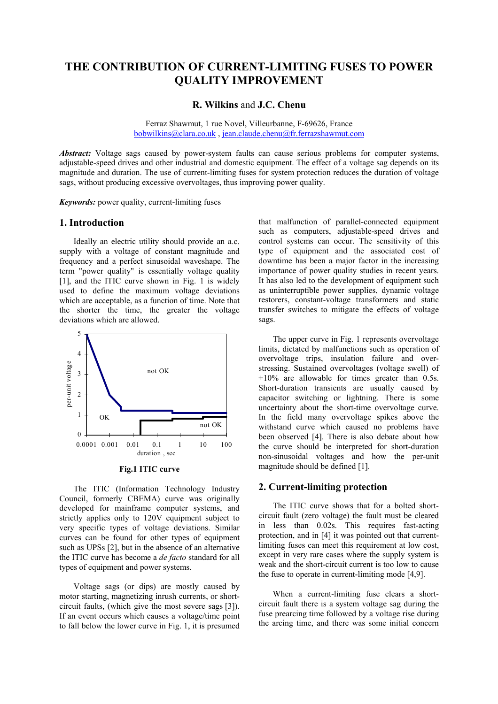# **THE CONTRIBUTION OF CURRENT-LIMITING FUSES TO POWER QUALITY IMPROVEMENT**

## **R. Wilkins** and **J.C. Chenu**

Ferraz Shawmut, 1 rue Novel, Villeurbanne, F-69626, France bobwilkins@clara.co.uk , jean.claude.chenu@fr.ferrazshawmut.com

Abstract: Voltage sags caused by power-system faults can cause serious problems for computer systems, adjustable-speed drives and other industrial and domestic equipment. The effect of a voltage sag depends on its magnitude and duration. The use of current-limiting fuses for system protection reduces the duration of voltage sags, without producing excessive overvoltages, thus improving power quality.

*Keywords:* power quality, current-limiting fuses

### **1. Introduction**

Ideally an electric utility should provide an a.c. supply with a voltage of constant magnitude and frequency and a perfect sinusoidal waveshape. The term "power quality" is essentially voltage quality [1], and the ITIC curve shown in Fig. 1 is widely used to define the maximum voltage deviations which are acceptable, as a function of time. Note that the shorter the time, the greater the voltage deviations which are allowed.



**Fig.1 ITIC curve** 

The ITIC (Information Technology Industry Council, formerly CBEMA) curve was originally developed for mainframe computer systems, and strictly applies only to 120V equipment subject to very specific types of voltage deviations. Similar curves can be found for other types of equipment such as UPSs [2], but in the absence of an alternative the ITIC curve has become a *de facto* standard for all types of equipment and power systems.

Voltage sags (or dips) are mostly caused by motor starting, magnetizing inrush currents, or shortcircuit faults, (which give the most severe sags [3]). If an event occurs which causes a voltage/time point to fall below the lower curve in Fig. 1, it is presumed that malfunction of parallel-connected equipment such as computers, adjustable-speed drives and control systems can occur. The sensitivity of this type of equipment and the associated cost of downtime has been a major factor in the increasing importance of power quality studies in recent years. It has also led to the development of equipment such as uninterruptible power supplies, dynamic voltage restorers, constant-voltage transformers and static transfer switches to mitigate the effects of voltage sags.

The upper curve in Fig. 1 represents overvoltage limits, dictated by malfunctions such as operation of overvoltage trips, insulation failure and overstressing. Sustained overvoltages (voltage swell) of +10% are allowable for times greater than 0.5s. Short-duration transients are usually caused by capacitor switching or lightning. There is some uncertainty about the short-time overvoltage curve. In the field many overvoltage spikes above the withstand curve which caused no problems have been observed [4]. There is also debate about how the curve should be interpreted for short-duration non-sinusoidal voltages and how the per-unit magnitude should be defined [1].

### **2. Current-limiting protection**

The ITIC curve shows that for a bolted shortcircuit fault (zero voltage) the fault must be cleared in less than 0.02s. This requires fast-acting protection, and in [4] it was pointed out that currentlimiting fuses can meet this requirement at low cost, except in very rare cases where the supply system is weak and the short-circuit current is too low to cause the fuse to operate in current-limiting mode [4,9].

When a current-limiting fuse clears a shortcircuit fault there is a system voltage sag during the fuse prearcing time followed by a voltage rise during the arcing time, and there was some initial concern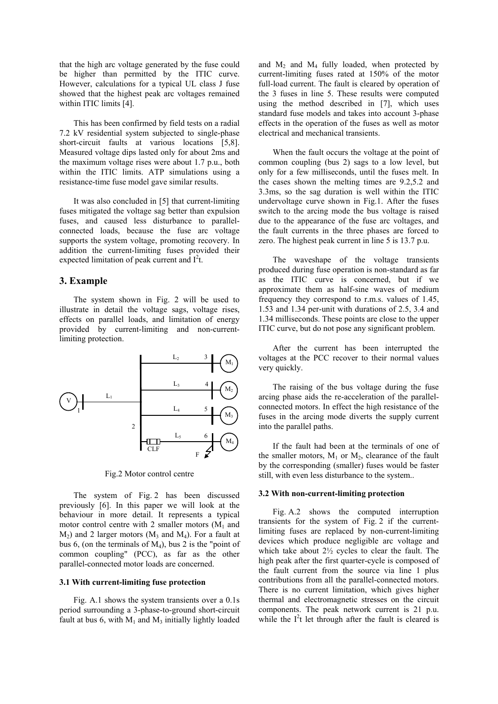that the high arc voltage generated by the fuse could be higher than permitted by the ITIC curve. However, calculations for a typical UL class J fuse showed that the highest peak arc voltages remained within ITIC limits [4].

This has been confirmed by field tests on a radial 7.2 kV residential system subjected to single-phase short-circuit faults at various locations [5,8]. Measured voltage dips lasted only for about 2ms and the maximum voltage rises were about 1.7 p.u., both within the ITIC limits. ATP simulations using a resistance-time fuse model gave similar results.

It was also concluded in [5] that current-limiting fuses mitigated the voltage sag better than expulsion fuses, and caused less disturbance to parallelconnected loads, because the fuse arc voltage supports the system voltage, promoting recovery. In addition the current-limiting fuses provided their expected limitation of peak current and  $I<sup>2</sup>t$ .

## **3. Example**

The system shown in Fig. 2 will be used to illustrate in detail the voltage sags, voltage rises, effects on parallel loads, and limitation of energy provided by current-limiting and non-currentlimiting protection.



Fig.2 Motor control centre

The system of Fig. 2 has been discussed previously [6]. In this paper we will look at the behaviour in more detail. It represents a typical motor control centre with 2 smaller motors  $(M_1$  and  $M_2$ ) and 2 larger motors ( $M_3$  and  $M_4$ ). For a fault at bus 6, (on the terminals of  $M_4$ ), bus 2 is the "point of common coupling" (PCC), as far as the other parallel-connected motor loads are concerned.

#### **3.1 With current-limiting fuse protection**

Fig. A.1 shows the system transients over a 0.1s period surrounding a 3-phase-to-ground short-circuit fault at bus 6, with  $M_1$  and  $M_3$  initially lightly loaded and  $M_2$  and  $M_4$  fully loaded, when protected by current-limiting fuses rated at 150% of the motor full-load current. The fault is cleared by operation of the 3 fuses in line 5. These results were computed using the method described in [7], which uses standard fuse models and takes into account 3-phase effects in the operation of the fuses as well as motor electrical and mechanical transients.

When the fault occurs the voltage at the point of common coupling (bus 2) sags to a low level, but only for a few milliseconds, until the fuses melt. In the cases shown the melting times are 9.2,5.2 and 3.3ms, so the sag duration is well within the ITIC undervoltage curve shown in Fig.1. After the fuses switch to the arcing mode the bus voltage is raised due to the appearance of the fuse arc voltages, and the fault currents in the three phases are forced to zero. The highest peak current in line 5 is 13.7 p.u.

The waveshape of the voltage transients produced during fuse operation is non-standard as far as the ITIC curve is concerned, but if we approximate them as half-sine waves of medium frequency they correspond to r.m.s. values of 1.45, 1.53 and 1.34 per-unit with durations of 2.5, 3.4 and 1.34 milliseconds. These points are close to the upper ITIC curve, but do not pose any significant problem.

After the current has been interrupted the voltages at the PCC recover to their normal values very quickly.

The raising of the bus voltage during the fuse arcing phase aids the re-acceleration of the parallelconnected motors. In effect the high resistance of the fuses in the arcing mode diverts the supply current into the parallel paths.

If the fault had been at the terminals of one of the smaller motors,  $M_1$  or  $M_2$ , clearance of the fault by the corresponding (smaller) fuses would be faster still, with even less disturbance to the system..

#### **3.2 With non-current-limiting protection**

Fig. A.2 shows the computed interruption transients for the system of Fig. 2 if the currentlimiting fuses are replaced by non-current-limiting devices which produce negligible arc voltage and which take about  $2\frac{1}{2}$  cycles to clear the fault. The high peak after the first quarter-cycle is composed of the fault current from the source via line 1 plus contributions from all the parallel-connected motors. There is no current limitation, which gives higher thermal and electromagnetic stresses on the circuit components. The peak network current is 21 p.u. while the  $I^2t$  let through after the fault is cleared is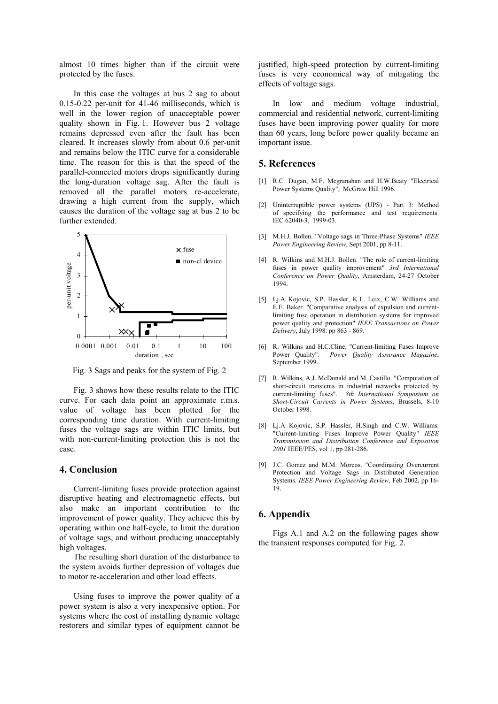almost 10 times higher than if the circuit were protected by the fuses.

In this case the voltages at bus 2 sag to about 0.15-0.22 per-unit for 41-46 milliseconds, which is well in the lower region of unacceptable power quality shown in Fig. 1. However bus 2 voltage remains depressed even after the fault has been cleared. It increases slowly from about 0.6 per-unit and remains below the ITIC curve for a considerable time. The reason for this is that the speed of the parallel-connected motors drops significantly during the long-duration voltage sag. After the fault is removed all the parallel motors re-accelerate, drawing a high current from the supply, which causes the duration of the voltage sag at bus 2 to be further extended.



Fig. 3 Sags and peaks for the system of Fig. 2

Fig. 3 shows how these results relate to the ITIC curve. For each data point an approximate r.m.s. value of voltage has been plotted for the corresponding time duration. With current-limiting fuses the voltage sags are within ITIC limits, but with non-current-limiting protection this is not the case.

## **4. Conclusion**

Current-limiting fuses provide protection against disruptive heating and electromagnetic effects, but also make an important contribution to the improvement of power quality. They achieve this by operating within one half-cycle, to limit the duration of voltage sags, and without producing unacceptably high voltages.

The resulting short duration of the disturbance to the system avoids further depression of voltages due to motor re-acceleration and other load effects.

Using fuses to improve the power quality of a power system is also a very inexpensive option. For systems where the cost of installing dynamic voltage restorers and similar types of equipment cannot be

justified, high-speed protection by current-limiting fuses is very economical way of mitigating the effects of voltage sags.

In low and medium voltage industrial, commercial and residential network, current-limiting fuses have been improving power quality for more than 60 years, long before power quality became an important issue.

#### **5. References**

- [1] R.C. Dugan, M.F. Mcgranahan and H.W.Beaty "Electrical Power Systems Quality", McGraw Hill 1996.
- [2] Uninterruptible power systems (UPS) Part 3: Method of specifying the performance and test requirements. IEC 62040-3, 1999-03.
- [3] M.H.J. Bollen. "Voltage sags in Three-Phase Systems" *IEEE Power Engineering Review*, Sept 2001, pp 8-11.
- [4] R. Wilkins and M.H.J. Bollen. "The role of current-limiting fuses in power quality improvement" *3rd International Conference on Power Quality*, Amsterdam, 24-27 October 1994.
- [5] Lj.A Kojovic, S.P. Hassler, K.L. Leix, C.W. Williams and E.E. Baker. "Comparative analysis of expulsion and currentlimiting fuse operation in distribution systems for improved power quality and protection" *IEEE Transactions on Power Delivery*, July 1998. pp 863 - 869.
- [6] R. Wilkins and H.C.Cline. "Current-limiting Fuses Improve Power Quality". Power Quality Assurance Magazine, Power Quality". *Power Quality Assurance Magazine*, September 1999.
- [7] R. Wilkins, A.J. McDonald and M. Castillo. "Computation of short-circuit transients in industrial networks protected by current-limiting fuses". *8th International Symposium on Short-Circuit Currents in Power Systems*, Brussels, 8-10 October 1998.
- [8] Lj.A Kojovic, S.P. Hassler, H.Singh and C.W. Williams. "Current-limiting Fuses Improve Power Quality" *IEEE Transmission and Distribution Conference and Exposition 2001* IEEE/PES, vol 1, pp 281-286.
- [9] J.C. Gomez and M.M. Morcos. "Coordinating Overcurrent Protection and Voltage Sags in Distributed Generation Systems. *IEEE Power Engineering Review*, Feb 2002, pp 16- 19.

## **6. Appendix**

Figs A.1 and A.2 on the following pages show the transient responses computed for Fig. 2.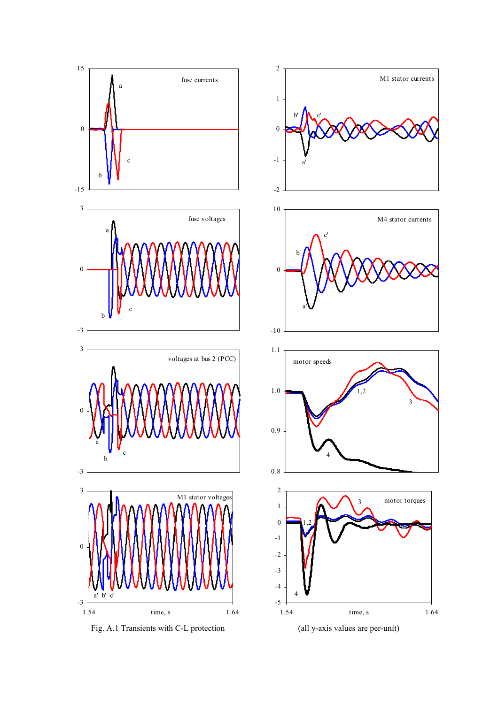

Fig. A.1 Transients with C-L protection